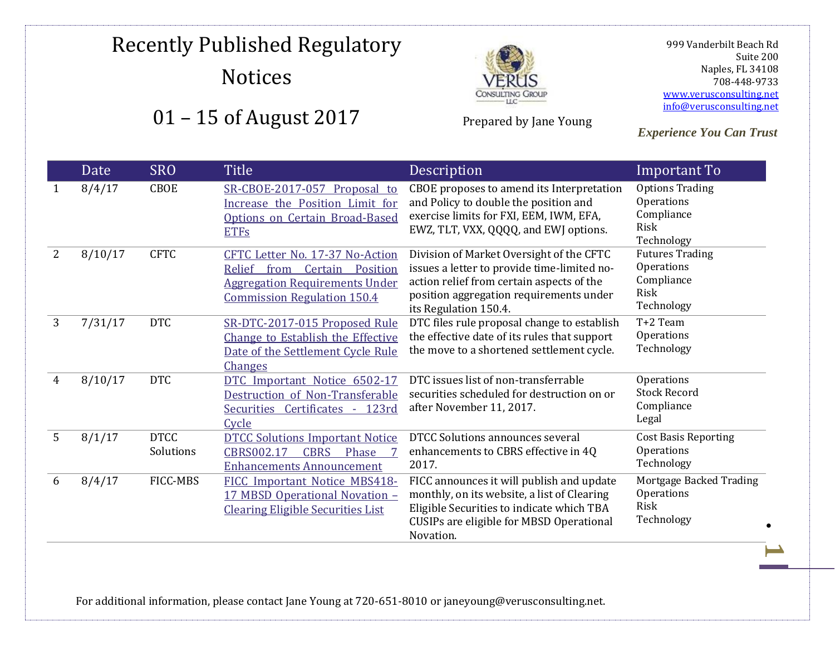### Recently Published Regulatory **Notices** 01 – 15 of August 2017



Prepared by Jane Young

 999 Vanderbilt Beach Rd Suite 200 Naples, FL 34108 708-448-9733 [www.verusconsulting.net](http://www.verusconsulting.net/) [info@verusconsulting.net](mailto:info@verusconsulting.net)

*Experience You Can Trust*

#### Date SRO Title Description **Important To** 1 8/4/17 CBOE [SR-CBOE-2017-057 Proposal to](https://www.cboe.com/publish/RuleFilingsSEC/SR-CBOE-2017-057.pdf)  [Increase the Position Limit for](https://www.cboe.com/publish/RuleFilingsSEC/SR-CBOE-2017-057.pdf)  [Options on Certain Broad-Based](https://www.cboe.com/publish/RuleFilingsSEC/SR-CBOE-2017-057.pdf)  [ETFs](https://www.cboe.com/publish/RuleFilingsSEC/SR-CBOE-2017-057.pdf) CBOE proposes to amend its Interpretation and Policy to double the position and exercise limits for FXI, EEM, IWM, EFA, EWZ, TLT, VXX, QQQQ, and EWJ options. Options Trading Operations Compliance Risk Technology 2 8/10/17 CFTC CFTC Letter No. 17-37 No-Action [Relief from Certain Position](http://www.cftc.gov/idc/groups/public/@lrlettergeneral/documents/letter/17-37.pdf)  [Aggregation Requirements Under](http://www.cftc.gov/idc/groups/public/@lrlettergeneral/documents/letter/17-37.pdf)  [Commission Regulation 150.4](http://www.cftc.gov/idc/groups/public/@lrlettergeneral/documents/letter/17-37.pdf)  Division of Market Oversight of the CFTC issues a letter to provide time-limited noaction relief from certain aspects of the position aggregation requirements under its Regulation 150.4. Futures Trading **Operations** Compliance Risk Technology 3 7/31/17 DTC [SR-DTC-2017-015 Proposed Rule](http://www.dtcc.com/~/media/Files/Downloads/legal/rule-filings/2017/dtc/SR-DTC-2017-015.pdf)  [Change to Establish the Effective](http://www.dtcc.com/~/media/Files/Downloads/legal/rule-filings/2017/dtc/SR-DTC-2017-015.pdf)  [Date of the Settlement Cycle Rule](http://www.dtcc.com/~/media/Files/Downloads/legal/rule-filings/2017/dtc/SR-DTC-2017-015.pdf)  **[Changes](http://www.dtcc.com/~/media/Files/Downloads/legal/rule-filings/2017/dtc/SR-DTC-2017-015.pdf)** DTC files rule proposal change to establish the effective date of its rules that support the move to a shortened settlement cycle. T+2 Team **Operations** Technology 4 8/10/17 DTC [DTC Important Notice 6502-17](http://www.dtcc.com/~/media/Files/pdf/2017/8/10/6502-17.pdf)  [Destruction of Non-Transferable](http://www.dtcc.com/~/media/Files/pdf/2017/8/10/6502-17.pdf)  [Securities Certificates -](http://www.dtcc.com/~/media/Files/pdf/2017/8/10/6502-17.pdf) 123rd **[Cycle](http://www.dtcc.com/~/media/Files/pdf/2017/8/10/6502-17.pdf)** DTC issues list of non-transferrable securities scheduled for destruction on or after November 11, 2017. **Operations** Stock Record Compliance Legal 5 8/1/17 DTCC Solutions [DTCC Solutions Important Notice](http://www.dtcc.com/~/media/Files/pdf/2017/8/1/CBRS00217.pdf)  [CBRS002.17 CBRS Phase 7](http://www.dtcc.com/~/media/Files/pdf/2017/8/1/CBRS00217.pdf)  [Enhancements Announcement](http://www.dtcc.com/~/media/Files/pdf/2017/8/1/CBRS00217.pdf) DTCC Solutions announces several enhancements to CBRS effective in 4Q 2017. Cost Basis Reporting **Operations** Technology 6 8/4/17 FICC-MBS [FICC Important Notice MBS418-](http://www.dtcc.com/~/media/Files/pdf/2017/8/4/MBS418-17.pdf) [17 MBSD Operational Novation](http://www.dtcc.com/~/media/Files/pdf/2017/8/4/MBS418-17.pdf) – [Clearing Eligible Securities List](http://www.dtcc.com/~/media/Files/pdf/2017/8/4/MBS418-17.pdf) FICC announces it will publish and update monthly, on its website, a list of Clearing Eligible Securities to indicate which TBA CUSIPs are eligible for MBSD Operational Novation. Mortgage Backed Trading **Operations** Risk Technology

For additional information, please contact Jane Young at 720-651-8010 or janeyoung@verusconsulting.net.

**1**

.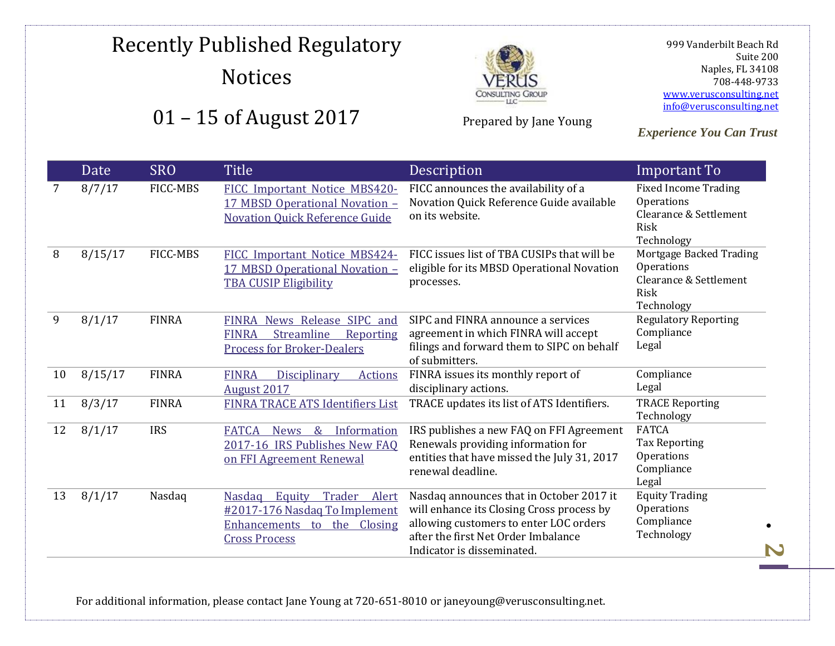## Recently Published Regulatory Notices





Prepared by Jane Young

 999 Vanderbilt Beach Rd Suite 200 Naples, FL 34108 708-448-9733 [www.verusconsulting.net](http://www.verusconsulting.net/) [info@verusconsulting.net](mailto:info@verusconsulting.net)

*Experience You Can Trust*

|    | Date    | <b>SRO</b>      | <b>Title</b>                                                                                                                       | Description                                                                                                                                                                                          | Important To                                                                                     |
|----|---------|-----------------|------------------------------------------------------------------------------------------------------------------------------------|------------------------------------------------------------------------------------------------------------------------------------------------------------------------------------------------------|--------------------------------------------------------------------------------------------------|
| 7  | 8/7/17  | FICC-MBS        | FICC Important Notice MBS420-<br>17 MBSD Operational Novation -<br><b>Novation Quick Reference Guide</b>                           | FICC announces the availability of a<br>Novation Quick Reference Guide available<br>on its website.                                                                                                  | <b>Fixed Income Trading</b><br>Operations<br>Clearance & Settlement<br><b>Risk</b><br>Technology |
| 8  | 8/15/17 | <b>FICC-MBS</b> | FICC Important Notice MBS424-<br>17 MBSD Operational Novation -<br><b>TBA CUSIP Eligibility</b>                                    | FICC issues list of TBA CUSIPs that will be<br>eligible for its MBSD Operational Novation<br>processes.                                                                                              | Mortgage Backed Trading<br>Operations<br>Clearance & Settlement<br>Risk<br>Technology            |
| 9  | 8/1/17  | <b>FINRA</b>    | News Release SIPC and<br><b>FINRA</b><br>Streamline<br><b>FINRA</b><br>Reporting<br><b>Process for Broker-Dealers</b>              | SIPC and FINRA announce a services<br>agreement in which FINRA will accept<br>filings and forward them to SIPC on behalf<br>of submitters.                                                           | <b>Regulatory Reporting</b><br>Compliance<br>Legal                                               |
| 10 | 8/15/17 | <b>FINRA</b>    | <b>FINRA</b><br><b>Disciplinary</b><br><b>Actions</b><br><b>August 2017</b>                                                        | FINRA issues its monthly report of<br>disciplinary actions.                                                                                                                                          | Compliance<br>Legal                                                                              |
| 11 | 8/3/17  | <b>FINRA</b>    | FINRA TRACE ATS Identifiers List                                                                                                   | TRACE updates its list of ATS Identifiers.                                                                                                                                                           | <b>TRACE Reporting</b><br>Technology                                                             |
| 12 | 8/1/17  | <b>IRS</b>      | <b>FATCA</b><br>$\&$<br>Information<br><b>News</b><br>2017-16 IRS Publishes New FAQ<br>on FFI Agreement Renewal                    | IRS publishes a new FAQ on FFI Agreement<br>Renewals providing information for<br>entities that have missed the July 31, 2017<br>renewal deadline.                                                   | <b>FATCA</b><br><b>Tax Reporting</b><br>Operations<br>Compliance<br>Legal                        |
| 13 | 8/1/17  | Nasdaq          | Trader<br>Equity<br><b>Nasdag</b><br>Alert<br>#2017-176 Nasdaq To Implement<br>Enhancements to the Closing<br><b>Cross Process</b> | Nasdaq announces that in October 2017 it<br>will enhance its Closing Cross process by<br>allowing customers to enter LOC orders<br>after the first Net Order Imbalance<br>Indicator is disseminated. | <b>Equity Trading</b><br>Operations<br>Compliance<br>Technology                                  |

For additional information, please contact Jane Young at 720-651-8010 or janeyoung@verusconsulting.net.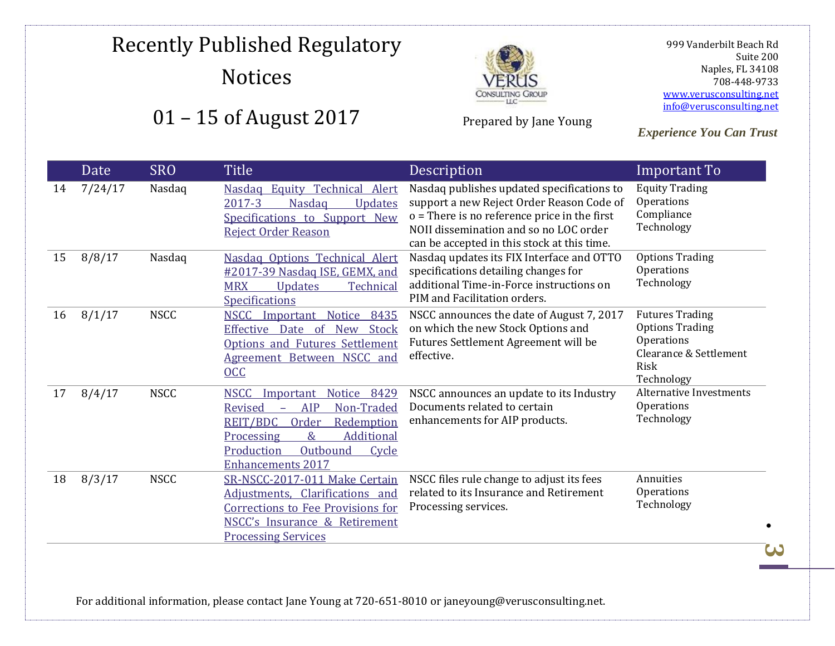# Recently Published Regulatory Notices





Prepared by Jane Young

 999 Vanderbilt Beach Rd Suite 200 Naples, FL 34108 708-448-9733 [www.verusconsulting.net](http://www.verusconsulting.net/) [info@verusconsulting.net](mailto:info@verusconsulting.net)

*Experience You Can Trust*

|    | Date    | <b>SRO</b>  | <b>Title</b>                                                                                                                                                                                                                                             | Description                                                                                                                                                                                                                        | Important To                                                                                                   |
|----|---------|-------------|----------------------------------------------------------------------------------------------------------------------------------------------------------------------------------------------------------------------------------------------------------|------------------------------------------------------------------------------------------------------------------------------------------------------------------------------------------------------------------------------------|----------------------------------------------------------------------------------------------------------------|
| 14 | 7/24/17 | Nasdaq      | <b>Equity Technical Alert</b><br><b>Nasdaq</b><br><b>Nasdag</b><br>2017-3<br>Updates<br>Specifications to Support New<br><b>Reject Order Reason</b>                                                                                                      | Nasdaq publishes updated specifications to<br>support a new Reject Order Reason Code of<br>$o$ = There is no reference price in the first<br>NOII dissemination and so no LOC order<br>can be accepted in this stock at this time. | <b>Equity Trading</b><br>Operations<br>Compliance<br>Technology                                                |
| 15 | 8/8/17  | Nasdaq      | Nasdaq Options Technical Alert<br>#2017-39 Nasdag ISE, GEMX, and<br><b>MRX</b><br><b>Updates</b><br>Technical<br><b>Specifications</b>                                                                                                                   | Nasdaq updates its FIX Interface and OTTO<br>specifications detailing changes for<br>additional Time-in-Force instructions on<br>PIM and Facilitation orders.                                                                      | <b>Options Trading</b><br>Operations<br>Technology                                                             |
| 16 | 8/1/17  | <b>NSCC</b> | NSCC Important<br><b>Notice</b><br>8435<br>Effective Date of<br>New Stock<br>Options and Futures Settlement<br>Agreement Between NSCC and<br>0 <sub>C</sub>                                                                                              | NSCC announces the date of August 7, 2017<br>on which the new Stock Options and<br>Futures Settlement Agreement will be<br>effective.                                                                                              | <b>Futures Trading</b><br><b>Options Trading</b><br>Operations<br>Clearance & Settlement<br>Risk<br>Technology |
| 17 | 8/4/17  | <b>NSCC</b> | <b>NSCC</b><br>8429<br>Notice<br>Important<br>Non-Traded<br><b>AIP</b><br><b>Revised</b><br>$\equiv$<br><b>REIT/BDC</b><br>Order<br>Redemption<br>$\&$<br><b>Additional</b><br>Processing<br>Outbound<br>Production<br>Cycle<br><b>Enhancements 2017</b> | NSCC announces an update to its Industry<br>Documents related to certain<br>enhancements for AIP products.                                                                                                                         | <b>Alternative Investments</b><br>Operations<br>Technology                                                     |
| 18 | 8/3/17  | <b>NSCC</b> | SR-NSCC-2017-011 Make Certain<br>Adjustments, Clarifications and<br>Corrections to Fee Provisions for<br>NSCC's Insurance & Retirement<br><b>Processing Services</b>                                                                                     | NSCC files rule change to adjust its fees<br>related to its Insurance and Retirement<br>Processing services.                                                                                                                       | Annuities<br>Operations<br>Technology                                                                          |

For additional information, please contact Jane Young at 720-651-8010 or janeyoung@verusconsulting.net.

**3**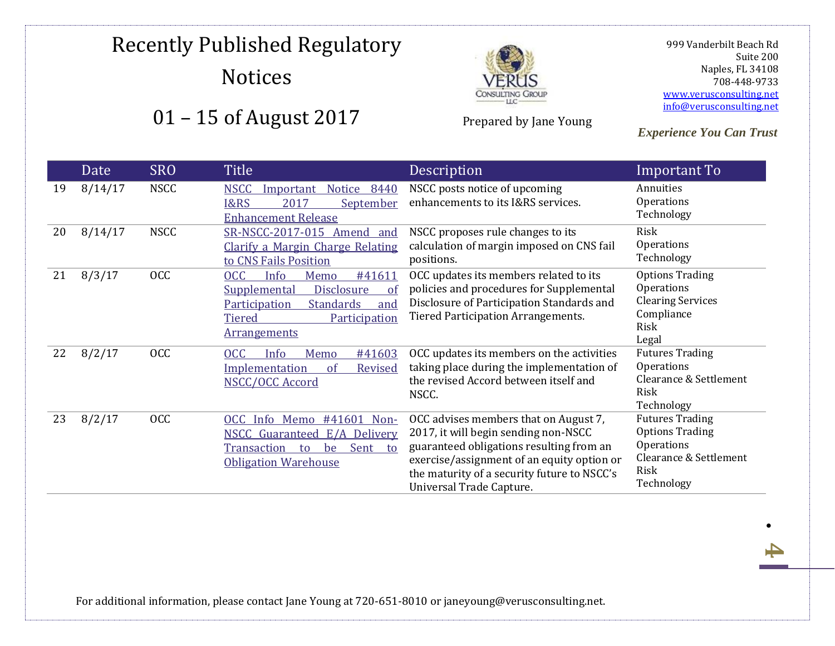## Recently Published Regulatory Notices





Prepared by Jane Young

 999 Vanderbilt Beach Rd Suite 200 Naples, FL 34108 708-448-9733 [www.verusconsulting.net](http://www.verusconsulting.net/) [info@verusconsulting.net](mailto:info@verusconsulting.net)

.

**4**

*Experience You Can Trust*

|    | Date    | <b>SRO</b>  | <b>Title</b>                                                                                                                                                                         | Description                                                                                                                                                                                                                                        | Important To                                                                                                   |
|----|---------|-------------|--------------------------------------------------------------------------------------------------------------------------------------------------------------------------------------|----------------------------------------------------------------------------------------------------------------------------------------------------------------------------------------------------------------------------------------------------|----------------------------------------------------------------------------------------------------------------|
| 19 | 8/14/17 | <b>NSCC</b> | <b>NSCC</b><br>Important<br>Notice<br>8440<br>I&RS<br>2017<br>September<br><b>Enhancement Release</b>                                                                                | NSCC posts notice of upcoming<br>enhancements to its I&RS services.                                                                                                                                                                                | Annuities<br>Operations<br>Technology                                                                          |
| 20 | 8/14/17 | <b>NSCC</b> | SR-NSCC-2017-015 Amend<br>and<br>Clarify a Margin Charge Relating<br>to CNS Fails Position                                                                                           | NSCC proposes rule changes to its<br>calculation of margin imposed on CNS fail<br>positions.                                                                                                                                                       | Risk<br>Operations<br>Technology                                                                               |
| 21 | 8/3/17  | <b>OCC</b>  | <b>OCC</b><br>Info<br>#41611<br>Memo<br>Disclosure<br><b>Supplemental</b><br>of<br><b>Standards</b><br>Participation<br>and<br><b>Tiered</b><br>Participation<br><b>Arrangements</b> | OCC updates its members related to its<br>policies and procedures for Supplemental<br>Disclosure of Participation Standards and<br><b>Tiered Participation Arrangements.</b>                                                                       | <b>Options Trading</b><br>Operations<br><b>Clearing Services</b><br>Compliance<br>Risk<br>Legal                |
| 22 | 8/2/17  | <b>OCC</b>  | <b>OCC</b><br>Info<br>Memo<br>#41603<br>Implementation<br><sub>of</sub><br>Revised<br>NSCC/OCC Accord                                                                                | OCC updates its members on the activities<br>taking place during the implementation of<br>the revised Accord between itself and<br>NSCC.                                                                                                           | <b>Futures Trading</b><br>Operations<br>Clearance & Settlement<br>Risk<br>Technology                           |
| 23 | 8/2/17  | <b>OCC</b>  | OCC Info Memo<br>#41601 Non-<br><b>NSCC Guaranteed E/A Delivery</b><br>Sent<br>Transaction<br>be<br>to<br>to<br><b>Obligation Warehouse</b>                                          | OCC advises members that on August 7,<br>2017, it will begin sending non-NSCC<br>guaranteed obligations resulting from an<br>exercise/assignment of an equity option or<br>the maturity of a security future to NSCC's<br>Universal Trade Capture. | <b>Futures Trading</b><br><b>Options Trading</b><br>Operations<br>Clearance & Settlement<br>Risk<br>Technology |

For additional information, please contact Jane Young at 720-651-8010 or janeyoung@verusconsulting.net.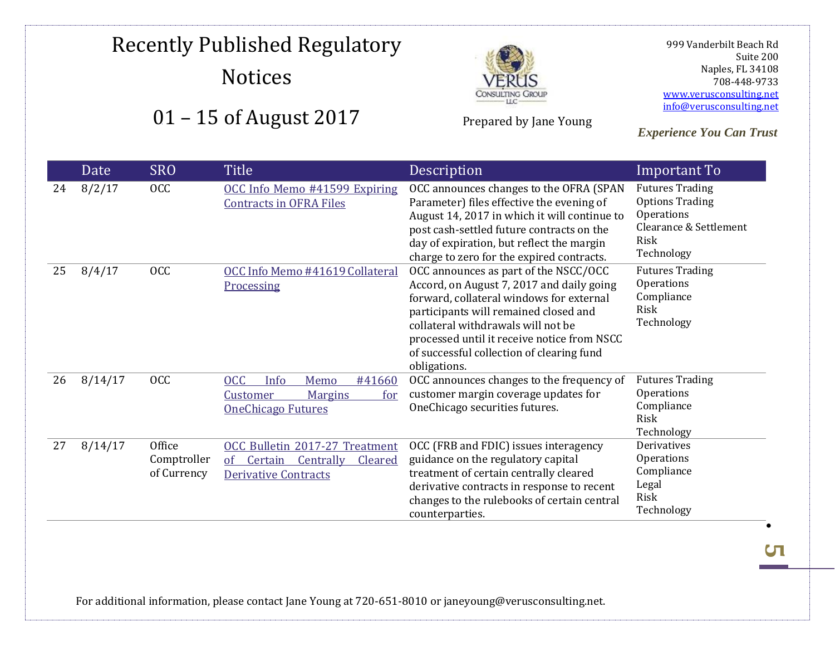### Recently Published Regulatory **Notices** 01 – 15 of August 2017



Prepared by Jane Young

 999 Vanderbilt Beach Rd Suite 200 Naples, FL 34108 708-448-9733 [www.verusconsulting.net](http://www.verusconsulting.net/) [info@verusconsulting.net](mailto:info@verusconsulting.net)

*Experience You Can Trust*

#### Date SRO Title Description **Important To** 24 8/2/17 OCC OCC Info Memo #41599 Expiring [Contracts in OFRA Files](https://www.theocc.com/webapps/infomemos?number=41599&date=201708&lastModifiedDate=08%2F02%2F2017+08%3A05%3A33) OCC announces changes to the OFRA (SPAN Parameter) files effective the evening of August 14, 2017 in which it will continue to post cash-settled future contracts on the day of expiration, but reflect the margin charge to zero for the expired contracts. Futures Trading Options Trading **Operations** Clearance & Settlement Risk Technology 25 8/4/17 OCC OCC Info Memo #41619 Collateral [Processing](https://www.theocc.com/webapps/infomemos?number=41619&date=201708&lastModifiedDate=08%2F04%2F2017+14%3A26%3A27) OCC announces as part of the NSCC/OCC Accord, on August 7, 2017 and daily going forward, collateral windows for external participants will remained closed and collateral withdrawals will not be processed until it receive notice from NSCC of successful collection of clearing fund obligations. Futures Trading **Operations** Compliance Risk Technology 26 8/14/17 OCC [OCC Info Memo #41660](https://www.theocc.com/webapps/infomemos?number=41660&date=201708&lastModifiedDate=08%2F14%2F2017+16%3A45%3A13)  [Customer Margins for](https://www.theocc.com/webapps/infomemos?number=41660&date=201708&lastModifiedDate=08%2F14%2F2017+16%3A45%3A13)  [OneChicago Futures](https://www.theocc.com/webapps/infomemos?number=41660&date=201708&lastModifiedDate=08%2F14%2F2017+16%3A45%3A13) OCC announces changes to the frequency of customer margin coverage updates for OneChicago securities futures. Futures Trading **Operations** Compliance Risk Technology 27 8/14/17 Office Comptroller of Currency [OCC Bulletin 2017-27 Treatment](https://www.occ.treas.gov/news-issuances/bulletins/2017/bulletin-2017-27.html)  [of Certain Centrally Cleared](https://www.occ.treas.gov/news-issuances/bulletins/2017/bulletin-2017-27.html)  [Derivative Contracts](https://www.occ.treas.gov/news-issuances/bulletins/2017/bulletin-2017-27.html) OCC (FRB and FDIC) issues interagency guidance on the regulatory capital treatment of certain centrally cleared derivative contracts in response to recent changes to the rulebooks of certain central counterparties. **Derivatives** Operations Compliance Legal Risk Technology

For additional information, please contact Jane Young at 720-651-8010 or janeyoung@verusconsulting.net.

**СП** 

.